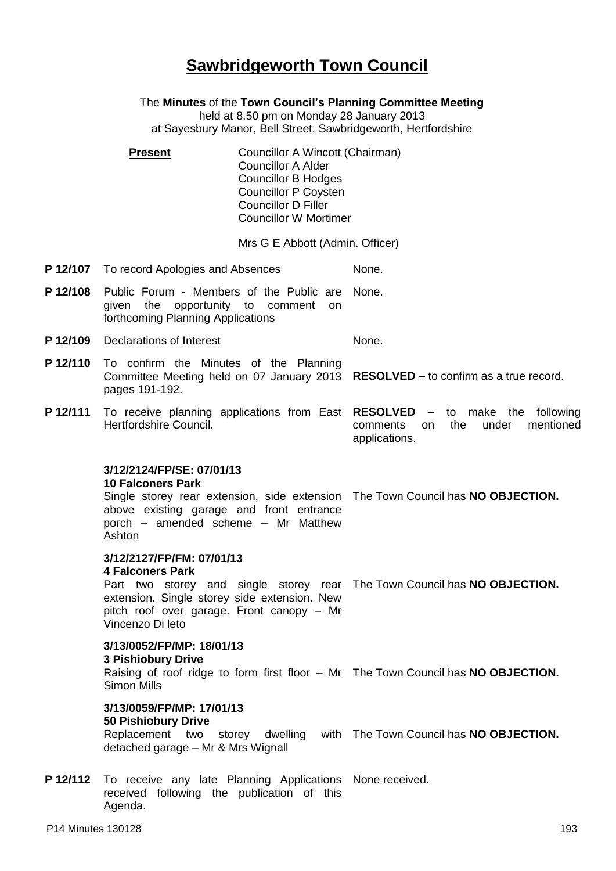# **Sawbridgeworth Town Council**

The **Minutes** of the **Town Council's Planning Committee Meeting** held at 8.50 pm on Monday 28 January 2013 at Sayesbury Manor, Bell Street, Sawbridgeworth, Hertfordshire

**Present Councillor A Wincott (Chairman)** Councillor A Alder Councillor B Hodges Councillor P Coysten Councillor D Filler Councillor W Mortimer

Mrs G E Abbott (Admin. Officer)

- **P 12/107** To record Apologies and Absences None.
- **P 12/108** Public Forum Members of the Public are None. given the opportunity to comment on forthcoming Planning Applications
- **P 12/109** Declarations of Interest None.
- **P 12/110** To confirm the Minutes of the Planning Committee Meeting held on 07 January 2013 **RESOLVED –** to confirm as a true record. pages 191-192.
- **P 12/111** To receive planning applications from East **RESOLVED –** to make the following Hertfordshire Council. comments on the under mentioned applications.

### **3/12/2124/FP/SE: 07/01/13**

#### **10 Falconers Park**

Single storey rear extension, side extension The Town Council has **NO OBJECTION.** above existing garage and front entrance porch – amended scheme – Mr Matthew Ashton

## **3/12/2127/FP/FM: 07/01/13**

### **4 Falconers Park**

Part two storey and single storey rear The Town Council has **NO OBJECTION.** extension. Single storey side extension. New pitch roof over garage. Front canopy – Mr Vincenzo Di leto

# **3/13/0052/FP/MP: 18/01/13 3 Pishiobury Drive**

Raising of roof ridge to form first floor – Mr The Town Council has **NO OBJECTION.** Simon Mills

# **3/13/0059/FP/MP: 17/01/13**

### **50 Pishiobury Drive**

Replacement two storey dwelling with The Town Council has **NO OBJECTION.** detached garage – Mr & Mrs Wignall

P 12/112 To receive any late Planning Applications None received. received following the publication of this Agenda.